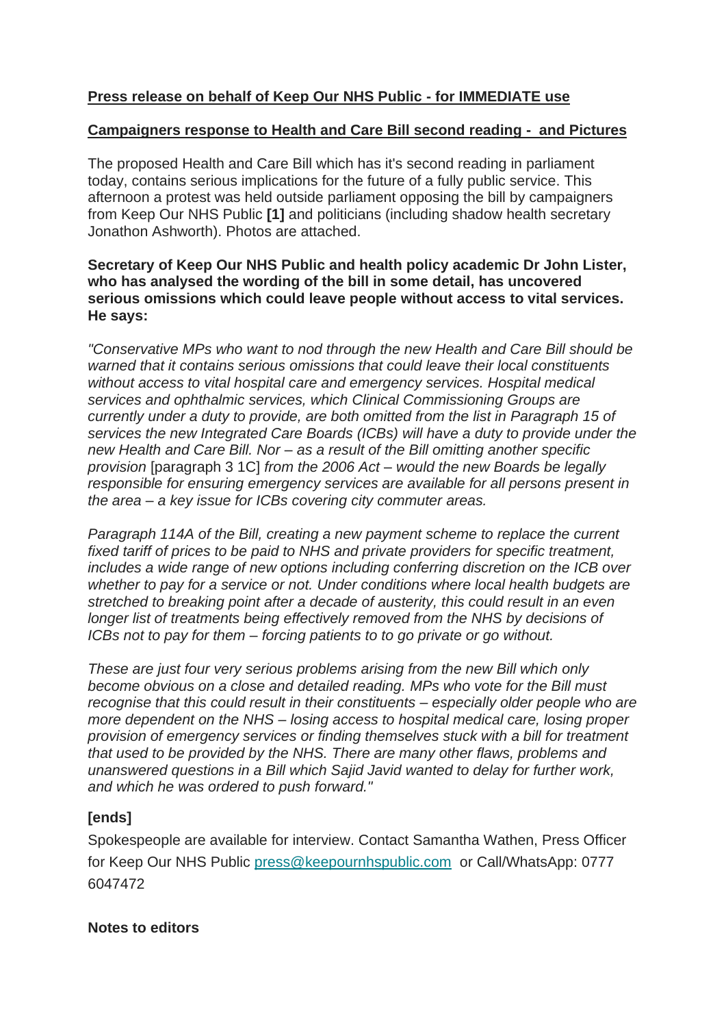# **Press release on behalf of Keep Our NHS Public - for IMMEDIATE use**

#### **Campaigners response to Health and Care Bill second reading - and Pictures**

The proposed Health and Care Bill which has it's second reading in parliament today, contains serious implications for the future of a fully public service. This afternoon a protest was held outside parliament opposing the bill by campaigners from Keep Our NHS Public **[1]** and politicians (including shadow health secretary Jonathon Ashworth). Photos are attached.

### **Secretary of Keep Our NHS Public and health policy academic Dr John Lister, who has analysed the wording of the bill in some detail, has uncovered serious omissions which could leave people without access to vital services. He says:**

*"Conservative MPs who want to nod through the new Health and Care Bill should be warned that it contains serious omissions that could leave their local constituents without access to vital hospital care and emergency services. Hospital medical services and ophthalmic services, which Clinical Commissioning Groups are currently under a duty to provide, are both omitted from the list in Paragraph 15 of services the new Integrated Care Boards (ICBs) will have a duty to provide under the new Health and Care Bill. Nor – as a result of the Bill omitting another specific provision* [paragraph 3 1C] *from the 2006 Act – would the new Boards be legally responsible for ensuring emergency services are available for all persons present in the area – a key issue for ICBs covering city commuter areas.*

*Paragraph 114A of the Bill, creating a new payment scheme to replace the current fixed tariff of prices to be paid to NHS and private providers for specific treatment, includes a wide range of new options including conferring discretion on the ICB over whether to pay for a service or not. Under conditions where local health budgets are stretched to breaking point after a decade of austerity, this could result in an even longer list of treatments being effectively removed from the NHS by decisions of ICBs not to pay for them – forcing patients to to go private or go without.*

*These are just four very serious problems arising from the new Bill which only become obvious on a close and detailed reading. MPs who vote for the Bill must recognise that this could result in their constituents – especially older people who are more dependent on the NHS – losing access to hospital medical care, losing proper provision of emergency services or finding themselves stuck with a bill for treatment that used to be provided by the NHS. There are many other flaws, problems and unanswered questions in a Bill which Sajid Javid wanted to delay for further work, and which he was ordered to push forward."*

# **[ends]**

Spokespeople are available for interview. Contact Samantha Wathen, Press Officer for Keep Our NHS Public [press@keepournhspublic.com](mailto:press@keepournhspublic.com) or Call/WhatsApp: 0777 6047472

### **Notes to editors**